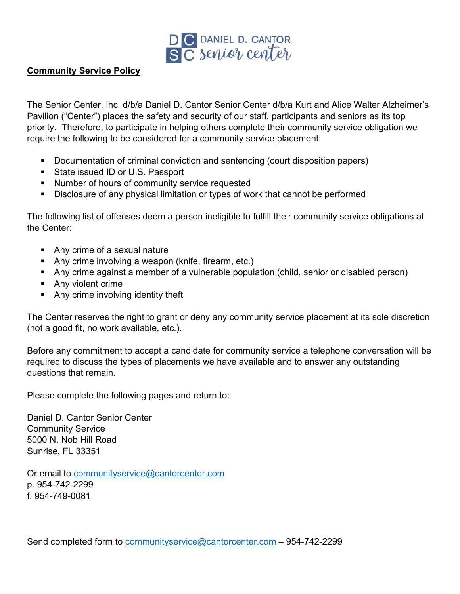

## **Community Service Policy**

The Senior Center, Inc. d/b/a Daniel D. Cantor Senior Center d/b/a Kurt and Alice Walter Alzheimer's Pavilion ("Center") places the safety and security of our staff, participants and seniors as its top priority. Therefore, to participate in helping others complete their community service obligation we require the following to be considered for a community service placement:

- Documentation of criminal conviction and sentencing (court disposition papers)
- State issued ID or U.S. Passport
- **Number of hours of community service requested**
- Disclosure of any physical limitation or types of work that cannot be performed

The following list of offenses deem a person ineligible to fulfill their community service obligations at the Center:

- **Any crime of a sexual nature**
- **Any crime involving a weapon (knife, firearm, etc.)**
- Any crime against a member of a vulnerable population (child, senior or disabled person)
- Any violent crime
- **Any crime involving identity theft**

The Center reserves the right to grant or deny any community service placement at its sole discretion (not a good fit, no work available, etc.).

Before any commitment to accept a candidate for community service a telephone conversation will be required to discuss the types of placements we have available and to answer any outstanding questions that remain.

Please complete the following pages and return to:

Daniel D. Cantor Senior Center Community Service 5000 N. Nob Hill Road Sunrise, FL 33351

Or email to [communityservice@cantorcenter.com](mailto:communityservice@cantorcenter.com) p. 954-742-2299 f. 954-749-0081

Send completed form to [communityservice@cantorcenter.com](mailto:communityservice@cantorcenter.com) – 954-742-2299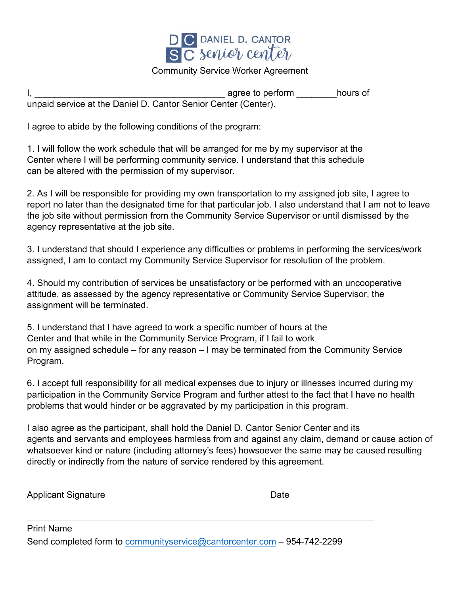

## Community Service Worker Agreement

|                                                                | agree to perform | hours of |
|----------------------------------------------------------------|------------------|----------|
| unpaid service at the Daniel D. Cantor Senior Center (Center). |                  |          |

I agree to abide by the following conditions of the program:

1. I will follow the work schedule that will be arranged for me by my supervisor at the Center where I will be performing community service. I understand that this schedule can be altered with the permission of my supervisor.

2. As I will be responsible for providing my own transportation to my assigned job site, I agree to report no later than the designated time for that particular job. I also understand that I am not to leave the job site without permission from the Community Service Supervisor or until dismissed by the agency representative at the job site.

3. I understand that should I experience any difficulties or problems in performing the services/work assigned, I am to contact my Community Service Supervisor for resolution of the problem.

4. Should my contribution of services be unsatisfactory or be performed with an uncooperative attitude, as assessed by the agency representative or Community Service Supervisor, the assignment will be terminated.

5. I understand that I have agreed to work a specific number of hours at the Center and that while in the Community Service Program, if I fail to work on my assigned schedule – for any reason – I may be terminated from the Community Service Program.

6. I accept full responsibility for all medical expenses due to injury or illnesses incurred during my participation in the Community Service Program and further attest to the fact that I have no health problems that would hinder or be aggravated by my participation in this program.

I also agree as the participant, shall hold the Daniel D. Cantor Senior Center and its agents and servants and employees harmless from and against any claim, demand or cause action of whatsoever kind or nature (including attorney's fees) howsoever the same may be caused resulting directly or indirectly from the nature of service rendered by this agreement.

| Applicant Signature | Date |
|---------------------|------|
|                     |      |